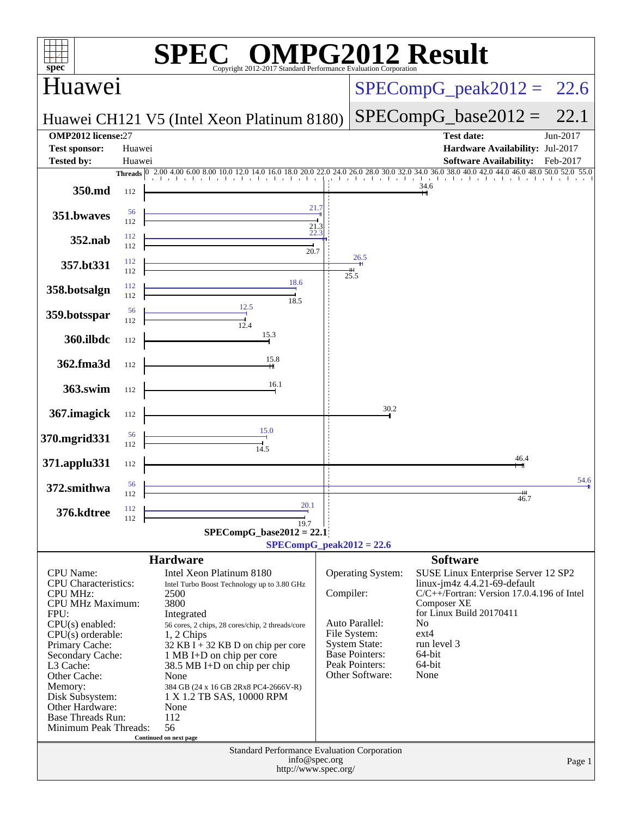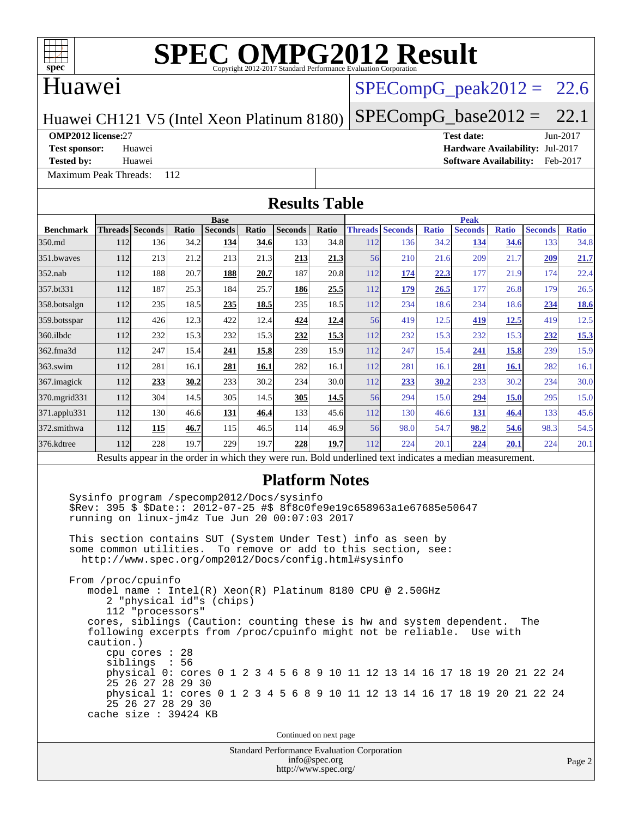#### Huawei

### $SPECompG<sub>peak2012</sub> = 22.6$

Huawei CH121 V5 (Intel Xeon Platinum 8180)

#### $SPECompG_base2012 = 22.1$  $SPECompG_base2012 = 22.1$

#### **[OMP2012 license:](http://www.spec.org/auto/omp2012/Docs/result-fields.html#OMP2012license)**27 **[Test date:](http://www.spec.org/auto/omp2012/Docs/result-fields.html#Testdate)** Jun-2017

[Maximum Peak Threads:](http://www.spec.org/auto/omp2012/Docs/result-fields.html#MaximumPeakThreads) 112

**[Test sponsor:](http://www.spec.org/auto/omp2012/Docs/result-fields.html#Testsponsor)** Huawei **[Hardware Availability:](http://www.spec.org/auto/omp2012/Docs/result-fields.html#HardwareAvailability)** Jul-2017 **[Tested by:](http://www.spec.org/auto/omp2012/Docs/result-fields.html#Testedby)** Huawei **[Software Availability:](http://www.spec.org/auto/omp2012/Docs/result-fields.html#SoftwareAvailability)** Feb-2017

Standard Performance Evaluation Corporation [info@spec.org](mailto:info@spec.org) Page 2 **[Results Table](http://www.spec.org/auto/omp2012/Docs/result-fields.html#ResultsTable) [Benchmark](http://www.spec.org/auto/omp2012/Docs/result-fields.html#Benchmark) [Threads](http://www.spec.org/auto/omp2012/Docs/result-fields.html#Threads) [Seconds](http://www.spec.org/auto/omp2012/Docs/result-fields.html#Seconds) [Ratio](http://www.spec.org/auto/omp2012/Docs/result-fields.html#Ratio) [Seconds](http://www.spec.org/auto/omp2012/Docs/result-fields.html#Seconds) [Ratio](http://www.spec.org/auto/omp2012/Docs/result-fields.html#Ratio) [Seconds](http://www.spec.org/auto/omp2012/Docs/result-fields.html#Seconds) [Ratio](http://www.spec.org/auto/omp2012/Docs/result-fields.html#Ratio) Base [Threads](http://www.spec.org/auto/omp2012/Docs/result-fields.html#Threads) [Seconds](http://www.spec.org/auto/omp2012/Docs/result-fields.html#Seconds) [Ratio](http://www.spec.org/auto/omp2012/Docs/result-fields.html#Ratio) [Seconds](http://www.spec.org/auto/omp2012/Docs/result-fields.html#Seconds) [Ratio](http://www.spec.org/auto/omp2012/Docs/result-fields.html#Ratio) [Seconds](http://www.spec.org/auto/omp2012/Docs/result-fields.html#Seconds) [Ratio](http://www.spec.org/auto/omp2012/Docs/result-fields.html#Ratio) Peak** [350.md](http://www.spec.org/auto/omp2012/Docs/350.md.html) 112 136 34.2 **[134](http://www.spec.org/auto/omp2012/Docs/result-fields.html#Median) [34.6](http://www.spec.org/auto/omp2012/Docs/result-fields.html#Median)** 133 34.8 112 136 34.2 **[134](http://www.spec.org/auto/omp2012/Docs/result-fields.html#Median) [34.6](http://www.spec.org/auto/omp2012/Docs/result-fields.html#Median)** 133 34.8 [351.bwaves](http://www.spec.org/auto/omp2012/Docs/351.bwaves.html) 112 213 21.2 213 21.3 **[213](http://www.spec.org/auto/omp2012/Docs/result-fields.html#Median) [21.3](http://www.spec.org/auto/omp2012/Docs/result-fields.html#Median)** 56 210 21.6 209 21.7 **[209](http://www.spec.org/auto/omp2012/Docs/result-fields.html#Median) [21.7](http://www.spec.org/auto/omp2012/Docs/result-fields.html#Median)** [352.nab](http://www.spec.org/auto/omp2012/Docs/352.nab.html) 112 188 20.7 **[188](http://www.spec.org/auto/omp2012/Docs/result-fields.html#Median) [20.7](http://www.spec.org/auto/omp2012/Docs/result-fields.html#Median)** 187 20.8 112 **[174](http://www.spec.org/auto/omp2012/Docs/result-fields.html#Median) [22.3](http://www.spec.org/auto/omp2012/Docs/result-fields.html#Median)** 177 21.9 174 22.4 [357.bt331](http://www.spec.org/auto/omp2012/Docs/357.bt331.html) 112 187 25.3 184 25.7 **[186](http://www.spec.org/auto/omp2012/Docs/result-fields.html#Median) [25.5](http://www.spec.org/auto/omp2012/Docs/result-fields.html#Median)** 112 **[179](http://www.spec.org/auto/omp2012/Docs/result-fields.html#Median) [26.5](http://www.spec.org/auto/omp2012/Docs/result-fields.html#Median)** 177 26.8 179 26.5 [358.botsalgn](http://www.spec.org/auto/omp2012/Docs/358.botsalgn.html) 112 235 18.5 **[235](http://www.spec.org/auto/omp2012/Docs/result-fields.html#Median) [18.5](http://www.spec.org/auto/omp2012/Docs/result-fields.html#Median)** 235 18.5 112 234 18.6 234 18.6 **[234](http://www.spec.org/auto/omp2012/Docs/result-fields.html#Median) [18.6](http://www.spec.org/auto/omp2012/Docs/result-fields.html#Median)** [359.botsspar](http://www.spec.org/auto/omp2012/Docs/359.botsspar.html) 112 426 12.3 422 12.4 **[424](http://www.spec.org/auto/omp2012/Docs/result-fields.html#Median) [12.4](http://www.spec.org/auto/omp2012/Docs/result-fields.html#Median)** 56 419 12.5 **[419](http://www.spec.org/auto/omp2012/Docs/result-fields.html#Median) [12.5](http://www.spec.org/auto/omp2012/Docs/result-fields.html#Median)** 419 12.5 [360.ilbdc](http://www.spec.org/auto/omp2012/Docs/360.ilbdc.html) 112 232 15.3 232 15.3 **[232](http://www.spec.org/auto/omp2012/Docs/result-fields.html#Median) [15.3](http://www.spec.org/auto/omp2012/Docs/result-fields.html#Median)** 112 232 15.3 232 15.3 **[232](http://www.spec.org/auto/omp2012/Docs/result-fields.html#Median) [15.3](http://www.spec.org/auto/omp2012/Docs/result-fields.html#Median)** [362.fma3d](http://www.spec.org/auto/omp2012/Docs/362.fma3d.html) 112 247 15.4 **[241](http://www.spec.org/auto/omp2012/Docs/result-fields.html#Median) [15.8](http://www.spec.org/auto/omp2012/Docs/result-fields.html#Median)** 239 15.9 112 247 15.4 **[241](http://www.spec.org/auto/omp2012/Docs/result-fields.html#Median) [15.8](http://www.spec.org/auto/omp2012/Docs/result-fields.html#Median)** 239 15.9 [363.swim](http://www.spec.org/auto/omp2012/Docs/363.swim.html) 112 281 16.1 **[281](http://www.spec.org/auto/omp2012/Docs/result-fields.html#Median) [16.1](http://www.spec.org/auto/omp2012/Docs/result-fields.html#Median)** 282 16.1 112 281 16.1 **[281](http://www.spec.org/auto/omp2012/Docs/result-fields.html#Median) [16.1](http://www.spec.org/auto/omp2012/Docs/result-fields.html#Median)** 282 16.1 [367.imagick](http://www.spec.org/auto/omp2012/Docs/367.imagick.html) 112 **[233](http://www.spec.org/auto/omp2012/Docs/result-fields.html#Median) [30.2](http://www.spec.org/auto/omp2012/Docs/result-fields.html#Median)** 233 30.2 234 30.0 112 **[233](http://www.spec.org/auto/omp2012/Docs/result-fields.html#Median) [30.2](http://www.spec.org/auto/omp2012/Docs/result-fields.html#Median)** 233 30.2 234 30.0 [370.mgrid331](http://www.spec.org/auto/omp2012/Docs/370.mgrid331.html) 112 304 14.5 305 14.5 **[305](http://www.spec.org/auto/omp2012/Docs/result-fields.html#Median) [14.5](http://www.spec.org/auto/omp2012/Docs/result-fields.html#Median)** 56 294 15.0 **[294](http://www.spec.org/auto/omp2012/Docs/result-fields.html#Median) [15.0](http://www.spec.org/auto/omp2012/Docs/result-fields.html#Median)** 295 15.0 [371.applu331](http://www.spec.org/auto/omp2012/Docs/371.applu331.html) 112 130 46.6 **[131](http://www.spec.org/auto/omp2012/Docs/result-fields.html#Median) [46.4](http://www.spec.org/auto/omp2012/Docs/result-fields.html#Median)** 133 45.6 112 130 46.6 **[131](http://www.spec.org/auto/omp2012/Docs/result-fields.html#Median) [46.4](http://www.spec.org/auto/omp2012/Docs/result-fields.html#Median)** 133 45.6 [372.smithwa](http://www.spec.org/auto/omp2012/Docs/372.smithwa.html) 112 **[115](http://www.spec.org/auto/omp2012/Docs/result-fields.html#Median) [46.7](http://www.spec.org/auto/omp2012/Docs/result-fields.html#Median)** 115 46.5 114 46.9 56 98.0 54.7 **[98.2](http://www.spec.org/auto/omp2012/Docs/result-fields.html#Median) [54.6](http://www.spec.org/auto/omp2012/Docs/result-fields.html#Median)** 98.3 54.5 [376.kdtree](http://www.spec.org/auto/omp2012/Docs/376.kdtree.html) 112 228 19.7 229 19.7 **[228](http://www.spec.org/auto/omp2012/Docs/result-fields.html#Median) [19.7](http://www.spec.org/auto/omp2012/Docs/result-fields.html#Median)** 112 224 20.1 **[224](http://www.spec.org/auto/omp2012/Docs/result-fields.html#Median) [20.1](http://www.spec.org/auto/omp2012/Docs/result-fields.html#Median)** 224 20.1 Results appear in the [order in which they were run.](http://www.spec.org/auto/omp2012/Docs/result-fields.html#RunOrder) Bold underlined text [indicates a median measurement.](http://www.spec.org/auto/omp2012/Docs/result-fields.html#Median) **[Platform Notes](http://www.spec.org/auto/omp2012/Docs/result-fields.html#PlatformNotes)** Sysinfo program /specomp2012/Docs/sysinfo \$Rev: 395 \$ \$Date:: 2012-07-25 #\$ 8f8c0fe9e19c658963a1e67685e50647 running on linux-jm4z Tue Jun 20 00:07:03 2017 This section contains SUT (System Under Test) info as seen by some common utilities. To remove or add to this section, see: <http://www.spec.org/omp2012/Docs/config.html#sysinfo> From /proc/cpuinfo model name : Intel(R) Xeon(R) Platinum 8180 CPU @ 2.50GHz 2 "physical id"s (chips) 112 "processors" cores, siblings (Caution: counting these is hw and system dependent. The following excerpts from /proc/cpuinfo might not be reliable. Use with caution.) cpu cores : 28 siblings : 56 physical 0: cores 0 1 2 3 4 5 6 8 9 10 11 12 13 14 16 17 18 19 20 21 22 24 25 26 27 28 29 30 physical 1: cores 0 1 2 3 4 5 6 8 9 10 11 12 13 14 16 17 18 19 20 21 22 24 25 26 27 28 29 30 cache size : 39424 KB Continued on next page

<http://www.spec.org/>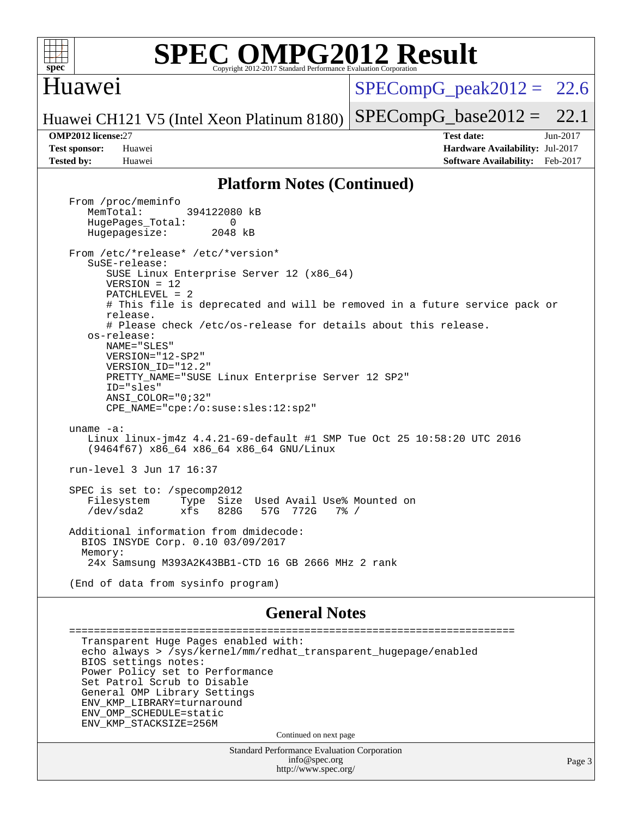

#### Huawei

 $SPECompG<sub>peak2012</sub> = 22.6$ 

Huawei CH121 V5 (Intel Xeon Platinum 8180)  $SPECompG_base2012 = 22.1$  $SPECompG_base2012 = 22.1$ 

**[OMP2012 license:](http://www.spec.org/auto/omp2012/Docs/result-fields.html#OMP2012license)**27 **[Test date:](http://www.spec.org/auto/omp2012/Docs/result-fields.html#Testdate)** Jun-2017 **[Test sponsor:](http://www.spec.org/auto/omp2012/Docs/result-fields.html#Testsponsor)** Huawei **[Hardware Availability:](http://www.spec.org/auto/omp2012/Docs/result-fields.html#HardwareAvailability)** Jul-2017 **[Tested by:](http://www.spec.org/auto/omp2012/Docs/result-fields.html#Testedby)** Huawei **[Software Availability:](http://www.spec.org/auto/omp2012/Docs/result-fields.html#SoftwareAvailability)** Feb-2017

#### **[Platform Notes \(Continued\)](http://www.spec.org/auto/omp2012/Docs/result-fields.html#PlatformNotes)**

 From /proc/meminfo MemTotal: 394122080 kB HugePages\_Total: 0<br>Hugepagesize: 2048 kB Hugepagesize: From /etc/\*release\* /etc/\*version\* SuSE-release: SUSE Linux Enterprise Server 12 (x86\_64) VERSION = 12 PATCHLEVEL = 2 # This file is deprecated and will be removed in a future service pack or release. # Please check /etc/os-release for details about this release. os-release: NAME="SLES" VERSION="12-SP2" VERSION\_ID="12.2" PRETTY\_NAME="SUSE Linux Enterprise Server 12 SP2" ID="sles" ANSI\_COLOR="0;32" CPE\_NAME="cpe:/o:suse:sles:12:sp2" uname -a: Linux linux-jm4z 4.4.21-69-default #1 SMP Tue Oct 25 10:58:20 UTC 2016 (9464f67) x86\_64 x86\_64 x86\_64 GNU/Linux run-level 3 Jun 17 16:37 SPEC is set to: /specomp2012 Filesystem Type Size Used Avail Use% Mounted on /dev/sda2 xfs 828G 57G 772G 7% / Additional information from dmidecode: BIOS INSYDE Corp. 0.10 03/09/2017 Memory: 24x Samsung M393A2K43BB1-CTD 16 GB 2666 MHz 2 rank (End of data from sysinfo program)

#### **[General Notes](http://www.spec.org/auto/omp2012/Docs/result-fields.html#GeneralNotes)**

 ======================================================================== Transparent Huge Pages enabled with: echo always > /sys/kernel/mm/redhat\_transparent\_hugepage/enabled BIOS settings notes: Power Policy set to Performance Set Patrol Scrub to Disable General OMP Library Settings ENV\_KMP\_LIBRARY=turnaround ENV\_OMP\_SCHEDULE=static ENV\_KMP\_STACKSIZE=256M Continued on next page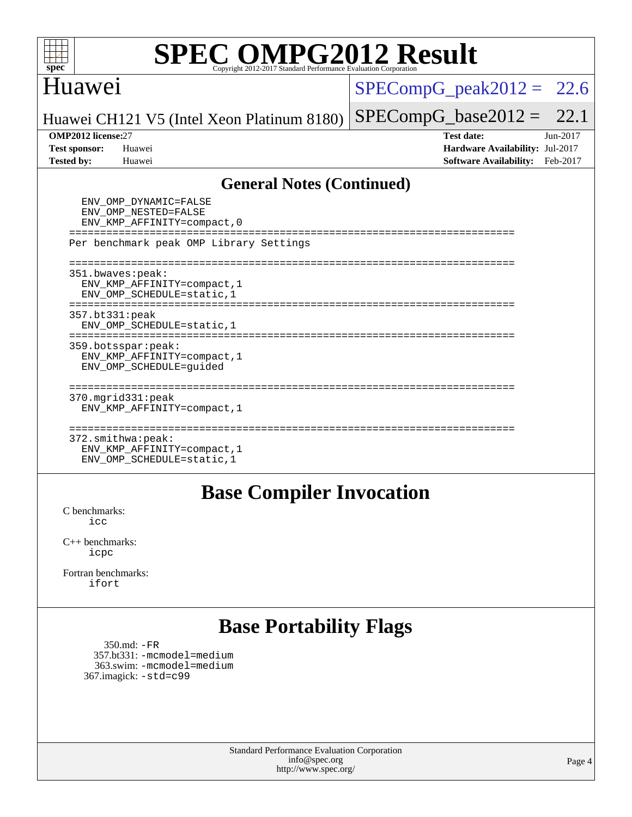

### Huawei

#### $SPECompG_peak2012 = 22.6$  $SPECompG_peak2012 = 22.6$

 $SPECompG_base2012 = 22.1$  $SPECompG_base2012 = 22.1$ 

Huawei CH121 V5 (Intel Xeon Platinum 8180)

**[OMP2012 license:](http://www.spec.org/auto/omp2012/Docs/result-fields.html#OMP2012license)**27 **[Test date:](http://www.spec.org/auto/omp2012/Docs/result-fields.html#Testdate)** Jun-2017 **[Test sponsor:](http://www.spec.org/auto/omp2012/Docs/result-fields.html#Testsponsor)** Huawei **[Hardware Availability:](http://www.spec.org/auto/omp2012/Docs/result-fields.html#HardwareAvailability)** Jul-2017 **[Tested by:](http://www.spec.org/auto/omp2012/Docs/result-fields.html#Testedby)** Huawei **[Software Availability:](http://www.spec.org/auto/omp2012/Docs/result-fields.html#SoftwareAvailability)** Feb-2017

#### **[General Notes \(Continued\)](http://www.spec.org/auto/omp2012/Docs/result-fields.html#GeneralNotes)**

| ENV OMP DYNAMIC=FALSE<br>ENV_OMP_NESTED=FALSE<br>ENV KMP AFFINITY=compact, 0   |
|--------------------------------------------------------------------------------|
| Per benchmark peak OMP Library Settings                                        |
| 351.bwaves:peak:<br>ENV KMP AFFINITY=compact, 1<br>ENV OMP SCHEDULE=static, 1  |
| 357.bt331:peak<br>ENV OMP SCHEDULE=static, 1                                   |
| 359.botsspar: peak:<br>ENV KMP AFFINITY=compact, 1<br>ENV OMP SCHEDULE=quided  |
| $370.\text{mgrid}331:\text{peak}$<br>ENV KMP AFFINITY=compact, 1               |
| 372.smithwa:peak:<br>ENV KMP AFFINITY=compact, 1<br>ENV OMP SCHEDULE=static, 1 |

#### **[Base Compiler Invocation](http://www.spec.org/auto/omp2012/Docs/result-fields.html#BaseCompilerInvocation)**

[C benchmarks](http://www.spec.org/auto/omp2012/Docs/result-fields.html#Cbenchmarks): [icc](http://www.spec.org/omp2012/results/res2017q3/omp2012-20170621-00104.flags.html#user_CCbase_intel_icc_a87c68a857bc5ec5362391a49d3a37a6)

[C++ benchmarks:](http://www.spec.org/auto/omp2012/Docs/result-fields.html#CXXbenchmarks) [icpc](http://www.spec.org/omp2012/results/res2017q3/omp2012-20170621-00104.flags.html#user_CXXbase_intel_icpc_2d899f8d163502b12eb4a60069f80c1c)

[Fortran benchmarks](http://www.spec.org/auto/omp2012/Docs/result-fields.html#Fortranbenchmarks): [ifort](http://www.spec.org/omp2012/results/res2017q3/omp2012-20170621-00104.flags.html#user_FCbase_intel_ifort_8a5e5e06b19a251bdeaf8fdab5d62f20)

## **[Base Portability Flags](http://www.spec.org/auto/omp2012/Docs/result-fields.html#BasePortabilityFlags)**

 350.md: [-FR](http://www.spec.org/omp2012/results/res2017q3/omp2012-20170621-00104.flags.html#user_baseFPORTABILITY350_md_f-FR) 357.bt331: [-mcmodel=medium](http://www.spec.org/omp2012/results/res2017q3/omp2012-20170621-00104.flags.html#user_basePORTABILITY357_bt331_f-mcmodel_3a41622424bdd074c4f0f2d2f224c7e5) 363.swim: [-mcmodel=medium](http://www.spec.org/omp2012/results/res2017q3/omp2012-20170621-00104.flags.html#user_basePORTABILITY363_swim_f-mcmodel_3a41622424bdd074c4f0f2d2f224c7e5) 367.imagick: [-std=c99](http://www.spec.org/omp2012/results/res2017q3/omp2012-20170621-00104.flags.html#user_baseCPORTABILITY367_imagick_f-std_2ec6533b6e06f1c4a6c9b78d9e9cde24)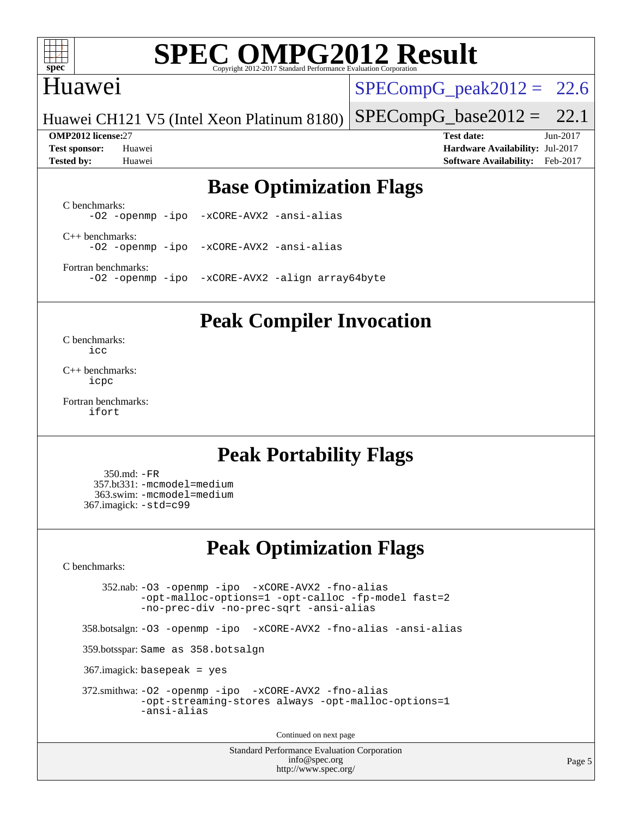

## Huawei

 $SPECompG_peak2012 = 22.6$  $SPECompG_peak2012 = 22.6$ 

 $SPECompG_base2012 = 22.1$  $SPECompG_base2012 = 22.1$ 

Huawei CH121 V5 (Intel Xeon Platinum 8180)

**[OMP2012 license:](http://www.spec.org/auto/omp2012/Docs/result-fields.html#OMP2012license)**27 **[Test date:](http://www.spec.org/auto/omp2012/Docs/result-fields.html#Testdate)** Jun-2017 **[Test sponsor:](http://www.spec.org/auto/omp2012/Docs/result-fields.html#Testsponsor)** Huawei **[Hardware Availability:](http://www.spec.org/auto/omp2012/Docs/result-fields.html#HardwareAvailability)** Jul-2017 **[Tested by:](http://www.spec.org/auto/omp2012/Docs/result-fields.html#Testedby)** Huawei **[Software Availability:](http://www.spec.org/auto/omp2012/Docs/result-fields.html#SoftwareAvailability)** Feb-2017

## **[Base Optimization Flags](http://www.spec.org/auto/omp2012/Docs/result-fields.html#BaseOptimizationFlags)**

[C benchmarks](http://www.spec.org/auto/omp2012/Docs/result-fields.html#Cbenchmarks): [-O2](http://www.spec.org/omp2012/results/res2017q3/omp2012-20170621-00104.flags.html#user_CCbase_f-O2) [-openmp](http://www.spec.org/omp2012/results/res2017q3/omp2012-20170621-00104.flags.html#user_CCbase_f-openmp) [-ipo](http://www.spec.org/omp2012/results/res2017q3/omp2012-20170621-00104.flags.html#user_CCbase_f-ipo_84062ab53814f613187d02344b8f49a7) [-xCORE-AVX2](http://www.spec.org/omp2012/results/res2017q3/omp2012-20170621-00104.flags.html#user_CCbase_f-xCORE-AVX2) [-ansi-alias](http://www.spec.org/omp2012/results/res2017q3/omp2012-20170621-00104.flags.html#user_CCbase_f-ansi-alias)

[C++ benchmarks:](http://www.spec.org/auto/omp2012/Docs/result-fields.html#CXXbenchmarks) [-O2](http://www.spec.org/omp2012/results/res2017q3/omp2012-20170621-00104.flags.html#user_CXXbase_f-O2) [-openmp](http://www.spec.org/omp2012/results/res2017q3/omp2012-20170621-00104.flags.html#user_CXXbase_f-openmp) [-ipo](http://www.spec.org/omp2012/results/res2017q3/omp2012-20170621-00104.flags.html#user_CXXbase_f-ipo_84062ab53814f613187d02344b8f49a7) [-xCORE-AVX2](http://www.spec.org/omp2012/results/res2017q3/omp2012-20170621-00104.flags.html#user_CXXbase_f-xCORE-AVX2) [-ansi-alias](http://www.spec.org/omp2012/results/res2017q3/omp2012-20170621-00104.flags.html#user_CXXbase_f-ansi-alias)

[Fortran benchmarks](http://www.spec.org/auto/omp2012/Docs/result-fields.html#Fortranbenchmarks): [-O2](http://www.spec.org/omp2012/results/res2017q3/omp2012-20170621-00104.flags.html#user_FCbase_f-O2) [-openmp](http://www.spec.org/omp2012/results/res2017q3/omp2012-20170621-00104.flags.html#user_FCbase_f-openmp) [-ipo](http://www.spec.org/omp2012/results/res2017q3/omp2012-20170621-00104.flags.html#user_FCbase_f-ipo_84062ab53814f613187d02344b8f49a7) [-xCORE-AVX2](http://www.spec.org/omp2012/results/res2017q3/omp2012-20170621-00104.flags.html#user_FCbase_f-xCORE-AVX2) [-align array64byte](http://www.spec.org/omp2012/results/res2017q3/omp2012-20170621-00104.flags.html#user_FCbase_f-align_c9377f996e966d652baaf753401d4725)

#### **[Peak Compiler Invocation](http://www.spec.org/auto/omp2012/Docs/result-fields.html#PeakCompilerInvocation)**

[C benchmarks](http://www.spec.org/auto/omp2012/Docs/result-fields.html#Cbenchmarks): [icc](http://www.spec.org/omp2012/results/res2017q3/omp2012-20170621-00104.flags.html#user_CCpeak_intel_icc_a87c68a857bc5ec5362391a49d3a37a6)

[C++ benchmarks:](http://www.spec.org/auto/omp2012/Docs/result-fields.html#CXXbenchmarks) [icpc](http://www.spec.org/omp2012/results/res2017q3/omp2012-20170621-00104.flags.html#user_CXXpeak_intel_icpc_2d899f8d163502b12eb4a60069f80c1c)

[Fortran benchmarks](http://www.spec.org/auto/omp2012/Docs/result-fields.html#Fortranbenchmarks): [ifort](http://www.spec.org/omp2012/results/res2017q3/omp2012-20170621-00104.flags.html#user_FCpeak_intel_ifort_8a5e5e06b19a251bdeaf8fdab5d62f20)

## **[Peak Portability Flags](http://www.spec.org/auto/omp2012/Docs/result-fields.html#PeakPortabilityFlags)**

 350.md: [-FR](http://www.spec.org/omp2012/results/res2017q3/omp2012-20170621-00104.flags.html#user_peakFPORTABILITY350_md_f-FR) 357.bt331: [-mcmodel=medium](http://www.spec.org/omp2012/results/res2017q3/omp2012-20170621-00104.flags.html#user_peakPORTABILITY357_bt331_f-mcmodel_3a41622424bdd074c4f0f2d2f224c7e5) 363.swim: [-mcmodel=medium](http://www.spec.org/omp2012/results/res2017q3/omp2012-20170621-00104.flags.html#user_peakPORTABILITY363_swim_f-mcmodel_3a41622424bdd074c4f0f2d2f224c7e5) 367.imagick: [-std=c99](http://www.spec.org/omp2012/results/res2017q3/omp2012-20170621-00104.flags.html#user_peakCPORTABILITY367_imagick_f-std_2ec6533b6e06f1c4a6c9b78d9e9cde24)

## **[Peak Optimization Flags](http://www.spec.org/auto/omp2012/Docs/result-fields.html#PeakOptimizationFlags)**

[C benchmarks](http://www.spec.org/auto/omp2012/Docs/result-fields.html#Cbenchmarks):

 352.nab: [-O3](http://www.spec.org/omp2012/results/res2017q3/omp2012-20170621-00104.flags.html#user_peakOPTIMIZE352_nab_f-O3) [-openmp](http://www.spec.org/omp2012/results/res2017q3/omp2012-20170621-00104.flags.html#user_peakOPTIMIZE352_nab_f-openmp) [-ipo](http://www.spec.org/omp2012/results/res2017q3/omp2012-20170621-00104.flags.html#user_peakOPTIMIZE352_nab_f-ipo_84062ab53814f613187d02344b8f49a7) [-xCORE-AVX2](http://www.spec.org/omp2012/results/res2017q3/omp2012-20170621-00104.flags.html#user_peakOPTIMIZE352_nab_f-xCORE-AVX2) [-fno-alias](http://www.spec.org/omp2012/results/res2017q3/omp2012-20170621-00104.flags.html#user_peakOPTIMIZE352_nab_f-no-alias_694e77f6c5a51e658e82ccff53a9e63a) [-opt-malloc-options=1](http://www.spec.org/omp2012/results/res2017q3/omp2012-20170621-00104.flags.html#user_peakOPTIMIZE352_nab_f-opt-malloc-options_d882ffc6ff87e51efe45f9a5190004b0) [-opt-calloc](http://www.spec.org/omp2012/results/res2017q3/omp2012-20170621-00104.flags.html#user_peakOPTIMIZE352_nab_f-opt-calloc) [-fp-model fast=2](http://www.spec.org/omp2012/results/res2017q3/omp2012-20170621-00104.flags.html#user_peakOPTIMIZE352_nab_f-fp-model_a7fb8ccb7275e23f0079632c153cfcab) [-no-prec-div](http://www.spec.org/omp2012/results/res2017q3/omp2012-20170621-00104.flags.html#user_peakOPTIMIZE352_nab_f-no-prec-div) [-no-prec-sqrt](http://www.spec.org/omp2012/results/res2017q3/omp2012-20170621-00104.flags.html#user_peakOPTIMIZE352_nab_f-no-prec-sqrt) [-ansi-alias](http://www.spec.org/omp2012/results/res2017q3/omp2012-20170621-00104.flags.html#user_peakCOPTIMIZE352_nab_f-ansi-alias)

358.botsalgn: [-O3](http://www.spec.org/omp2012/results/res2017q3/omp2012-20170621-00104.flags.html#user_peakOPTIMIZE358_botsalgn_f-O3) [-openmp](http://www.spec.org/omp2012/results/res2017q3/omp2012-20170621-00104.flags.html#user_peakOPTIMIZE358_botsalgn_f-openmp) [-ipo](http://www.spec.org/omp2012/results/res2017q3/omp2012-20170621-00104.flags.html#user_peakOPTIMIZE358_botsalgn_f-ipo_84062ab53814f613187d02344b8f49a7) [-xCORE-AVX2](http://www.spec.org/omp2012/results/res2017q3/omp2012-20170621-00104.flags.html#user_peakOPTIMIZE358_botsalgn_f-xCORE-AVX2) [-fno-alias](http://www.spec.org/omp2012/results/res2017q3/omp2012-20170621-00104.flags.html#user_peakOPTIMIZE358_botsalgn_f-no-alias_694e77f6c5a51e658e82ccff53a9e63a) [-ansi-alias](http://www.spec.org/omp2012/results/res2017q3/omp2012-20170621-00104.flags.html#user_peakCOPTIMIZE358_botsalgn_f-ansi-alias)

359.botsspar: Same as 358.botsalgn

367.imagick: basepeak = yes

```
 372.smithwa: -O2 -openmp -ipo -xCORE-AVX2 -fno-alias
-opt-streaming-stores always -opt-malloc-options=1
-ansi-alias
```
Continued on next page